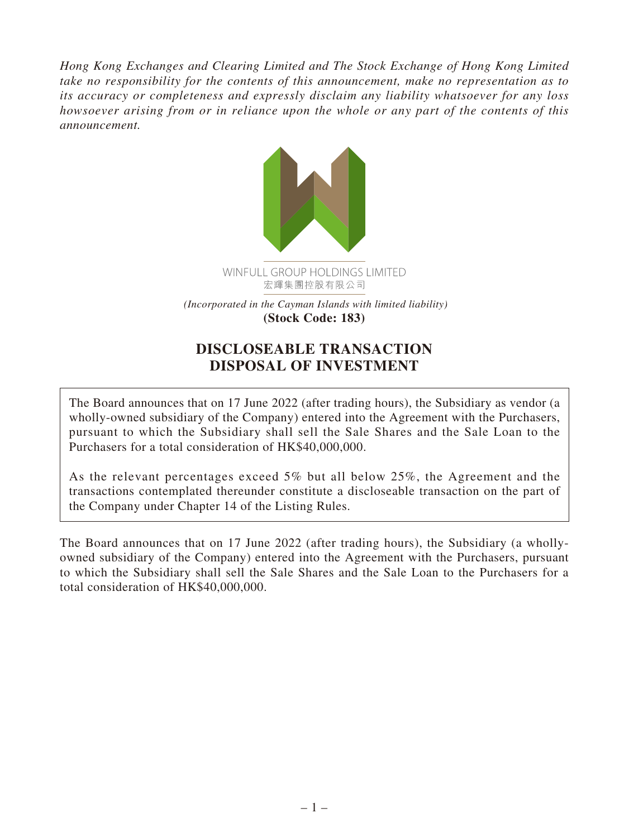*Hong Kong Exchanges and Clearing Limited and The Stock Exchange of Hong Kong Limited take no responsibility for the contents of this announcement, make no representation as to its accuracy or completeness and expressly disclaim any liability whatsoever for any loss howsoever arising from or in reliance upon the whole or any part of the contents of this announcement.*



 *(Incorporated in the Cayman Islands with limited liability)* **(Stock Code: 183)**

# **DISCLOSEABLE TRANSACTION DISPOSAL OF INVESTMENT**

The Board announces that on 17 June 2022 (after trading hours), the Subsidiary as vendor (a wholly-owned subsidiary of the Company) entered into the Agreement with the Purchasers, pursuant to which the Subsidiary shall sell the Sale Shares and the Sale Loan to the Purchasers for a total consideration of HK\$40,000,000.

As the relevant percentages exceed 5% but all below 25%, the Agreement and the transactions contemplated thereunder constitute a discloseable transaction on the part of the Company under Chapter 14 of the Listing Rules.

The Board announces that on 17 June 2022 (after trading hours), the Subsidiary (a whollyowned subsidiary of the Company) entered into the Agreement with the Purchasers, pursuant to which the Subsidiary shall sell the Sale Shares and the Sale Loan to the Purchasers for a total consideration of HK\$40,000,000.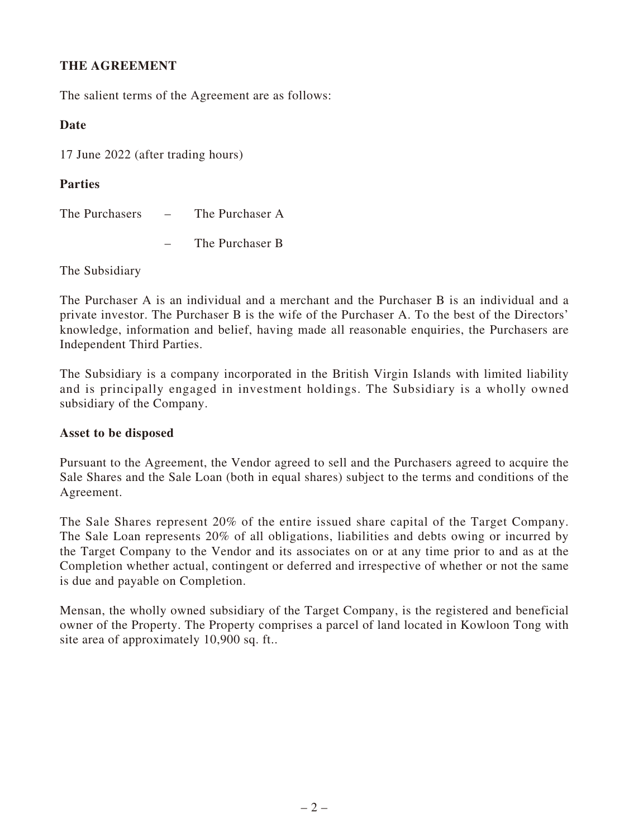## **THE AGREEMENT**

The salient terms of the Agreement are as follows:

#### **Date**

17 June 2022 (after trading hours)

#### **Parties**

The Purchasers – The Purchaser A

– The Purchaser B

The Subsidiary

The Purchaser A is an individual and a merchant and the Purchaser B is an individual and a private investor. The Purchaser B is the wife of the Purchaser A. To the best of the Directors' knowledge, information and belief, having made all reasonable enquiries, the Purchasers are Independent Third Parties.

The Subsidiary is a company incorporated in the British Virgin Islands with limited liability and is principally engaged in investment holdings. The Subsidiary is a wholly owned subsidiary of the Company.

#### **Asset to be disposed**

Pursuant to the Agreement, the Vendor agreed to sell and the Purchasers agreed to acquire the Sale Shares and the Sale Loan (both in equal shares) subject to the terms and conditions of the Agreement.

The Sale Shares represent 20% of the entire issued share capital of the Target Company. The Sale Loan represents 20% of all obligations, liabilities and debts owing or incurred by the Target Company to the Vendor and its associates on or at any time prior to and as at the Completion whether actual, contingent or deferred and irrespective of whether or not the same is due and payable on Completion.

Mensan, the wholly owned subsidiary of the Target Company, is the registered and beneficial owner of the Property. The Property comprises a parcel of land located in Kowloon Tong with site area of approximately 10,900 sq. ft..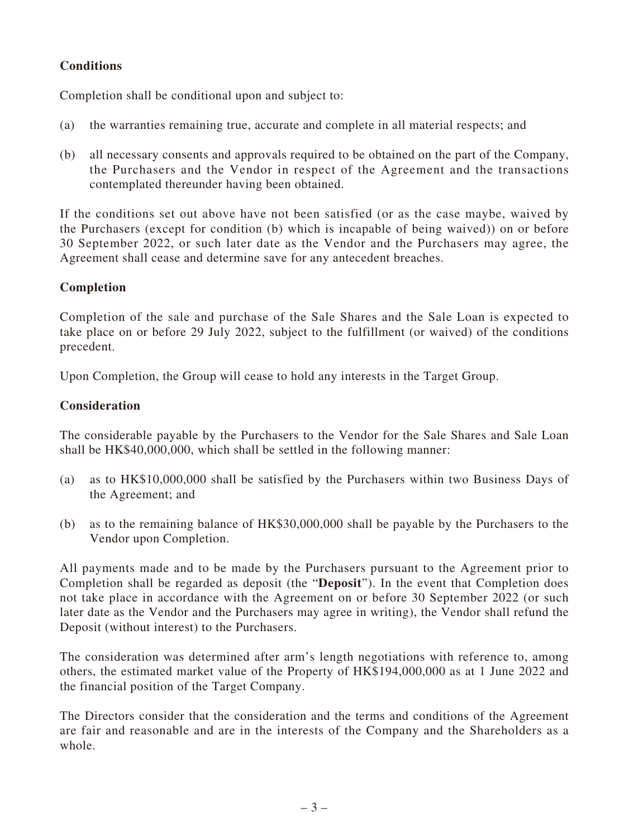# **Conditions**

Completion shall be conditional upon and subject to:

- (a) the warranties remaining true, accurate and complete in all material respects; and
- (b) all necessary consents and approvals required to be obtained on the part of the Company, the Purchasers and the Vendor in respect of the Agreement and the transactions contemplated thereunder having been obtained.

If the conditions set out above have not been satisfied (or as the case maybe, waived by the Purchasers (except for condition (b) which is incapable of being waived)) on or before 30 September 2022, or such later date as the Vendor and the Purchasers may agree, the Agreement shall cease and determine save for any antecedent breaches.

# **Completion**

Completion of the sale and purchase of the Sale Shares and the Sale Loan is expected to take place on or before 29 July 2022, subject to the fulfillment (or waived) of the conditions precedent.

Upon Completion, the Group will cease to hold any interests in the Target Group.

### **Consideration**

The considerable payable by the Purchasers to the Vendor for the Sale Shares and Sale Loan shall be HK\$40,000,000, which shall be settled in the following manner:

- (a) as to HK\$10,000,000 shall be satisfied by the Purchasers within two Business Days of the Agreement; and
- (b) as to the remaining balance of HK\$30,000,000 shall be payable by the Purchasers to the Vendor upon Completion.

All payments made and to be made by the Purchasers pursuant to the Agreement prior to Completion shall be regarded as deposit (the "**Deposit**"). In the event that Completion does not take place in accordance with the Agreement on or before 30 September 2022 (or such later date as the Vendor and the Purchasers may agree in writing), the Vendor shall refund the Deposit (without interest) to the Purchasers.

The consideration was determined after arm's length negotiations with reference to, among others, the estimated market value of the Property of HK\$194,000,000 as at 1 June 2022 and the financial position of the Target Company.

The Directors consider that the consideration and the terms and conditions of the Agreement are fair and reasonable and are in the interests of the Company and the Shareholders as a whole.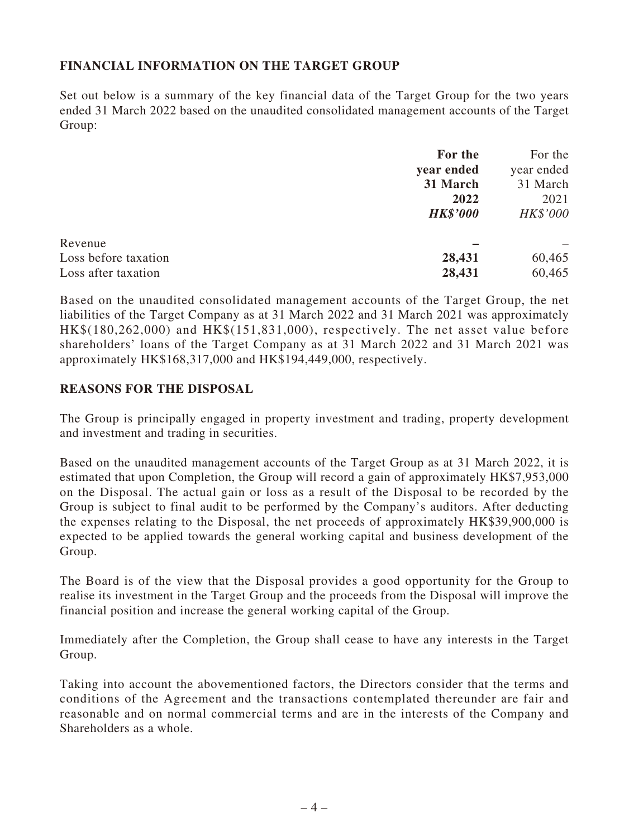## **FINANCIAL INFORMATION ON THE TARGET GROUP**

Set out below is a summary of the key financial data of the Target Group for the two years ended 31 March 2022 based on the unaudited consolidated management accounts of the Target Group:

|                      | For the         | For the    |
|----------------------|-----------------|------------|
|                      | year ended      | year ended |
|                      | 31 March        | 31 March   |
|                      | 2022            | 2021       |
|                      | <b>HK\$'000</b> | HK\$'000   |
| Revenue              |                 |            |
| Loss before taxation | 28,431          | 60,465     |
| Loss after taxation  | 28,431          | 60,465     |

Based on the unaudited consolidated management accounts of the Target Group, the net liabilities of the Target Company as at 31 March 2022 and 31 March 2021 was approximately HK\$(180,262,000) and HK\$(151,831,000), respectively. The net asset value before shareholders' loans of the Target Company as at 31 March 2022 and 31 March 2021 was approximately HK\$168,317,000 and HK\$194,449,000, respectively.

#### **REASONS FOR THE DISPOSAL**

The Group is principally engaged in property investment and trading, property development and investment and trading in securities.

Based on the unaudited management accounts of the Target Group as at 31 March 2022, it is estimated that upon Completion, the Group will record a gain of approximately HK\$7,953,000 on the Disposal. The actual gain or loss as a result of the Disposal to be recorded by the Group is subject to final audit to be performed by the Company's auditors. After deducting the expenses relating to the Disposal, the net proceeds of approximately HK\$39,900,000 is expected to be applied towards the general working capital and business development of the Group.

The Board is of the view that the Disposal provides a good opportunity for the Group to realise its investment in the Target Group and the proceeds from the Disposal will improve the financial position and increase the general working capital of the Group.

Immediately after the Completion, the Group shall cease to have any interests in the Target Group.

Taking into account the abovementioned factors, the Directors consider that the terms and conditions of the Agreement and the transactions contemplated thereunder are fair and reasonable and on normal commercial terms and are in the interests of the Company and Shareholders as a whole.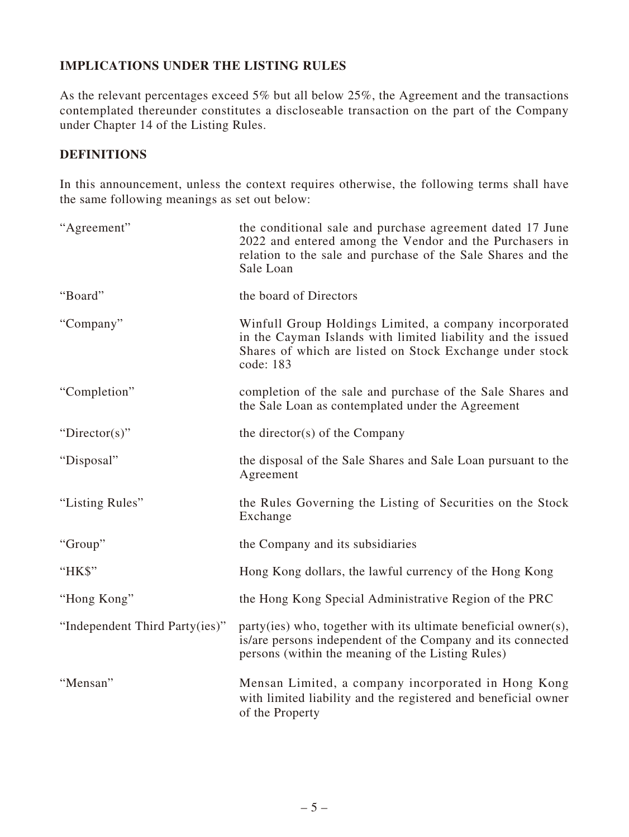# **IMPLICATIONS UNDER THE LISTING RULES**

As the relevant percentages exceed 5% but all below 25%, the Agreement and the transactions contemplated thereunder constitutes a discloseable transaction on the part of the Company under Chapter 14 of the Listing Rules.

#### **DEFINITIONS**

In this announcement, unless the context requires otherwise, the following terms shall have the same following meanings as set out below:

| "Agreement"                    | the conditional sale and purchase agreement dated 17 June<br>2022 and entered among the Vendor and the Purchasers in<br>relation to the sale and purchase of the Sale Shares and the<br>Sale Loan |
|--------------------------------|---------------------------------------------------------------------------------------------------------------------------------------------------------------------------------------------------|
| "Board"                        | the board of Directors                                                                                                                                                                            |
| "Company"                      | Winfull Group Holdings Limited, a company incorporated<br>in the Cayman Islands with limited liability and the issued<br>Shares of which are listed on Stock Exchange under stock<br>code: 183    |
| "Completion"                   | completion of the sale and purchase of the Sale Shares and<br>the Sale Loan as contemplated under the Agreement                                                                                   |
| "Director(s)"                  | the director(s) of the Company                                                                                                                                                                    |
| "Disposal"                     | the disposal of the Sale Shares and Sale Loan pursuant to the<br>Agreement                                                                                                                        |
| "Listing Rules"                | the Rules Governing the Listing of Securities on the Stock<br>Exchange                                                                                                                            |
| "Group"                        | the Company and its subsidiaries                                                                                                                                                                  |
| "HK\$"                         | Hong Kong dollars, the lawful currency of the Hong Kong                                                                                                                                           |
| "Hong Kong"                    | the Hong Kong Special Administrative Region of the PRC                                                                                                                                            |
| "Independent Third Party(ies)" | party(ies) who, together with its ultimate beneficial owner(s),<br>is/are persons independent of the Company and its connected<br>persons (within the meaning of the Listing Rules)               |
| "Mensan"                       | Mensan Limited, a company incorporated in Hong Kong<br>with limited liability and the registered and beneficial owner<br>of the Property                                                          |